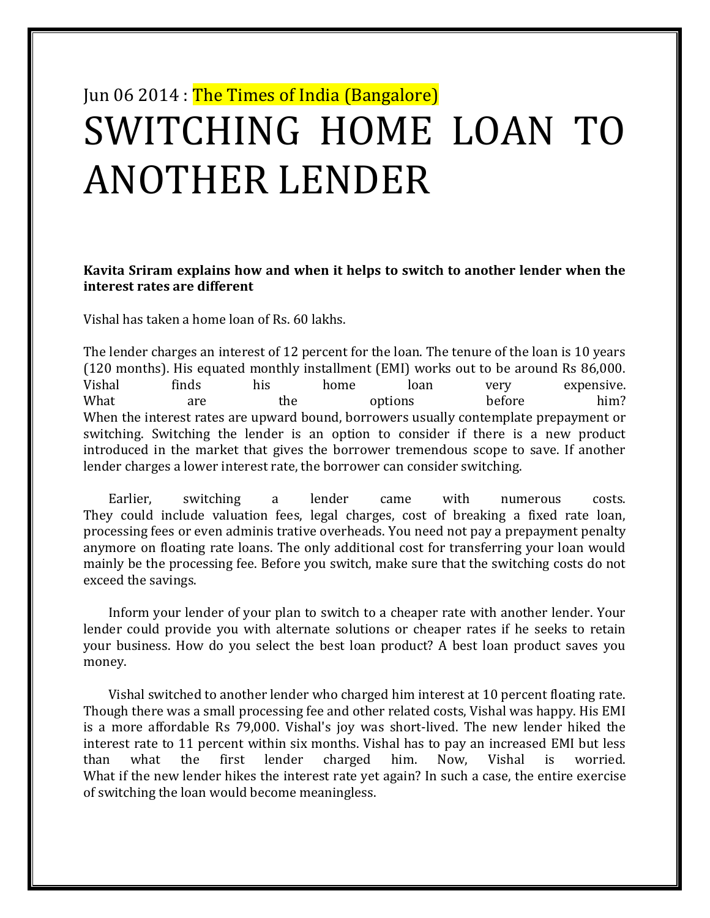# Jun 06 2014 : The Times of India (Bangalore) SWITCHING HOME LOAN TO ANOTHER LENDER

### **Kavita Sriram explains how and when it helps to switch to another lender when the interest rates are different**

Vishal has taken a home loan of Rs. 60 lakhs.

The lender charges an interest of 12 percent for the loan. The tenure of the loan is 10 years (120 months). His equated monthly installment (EMI) works out to be around Rs 86,000. Vishal finds his home loan very expensive. What are the options before him? When the interest rates are upward bound, borrowers usually contemplate prepayment or switching. Switching the lender is an option to consider if there is a new product introduced in the market that gives the borrower tremendous scope to save. If another lender charges a lower interest rate, the borrower can consider switching.

Earlier, switching a lender came with numerous costs. They could include valuation fees, legal charges, cost of breaking a fixed rate loan, processing fees or even adminis trative overheads. You need not pay a prepayment penalty anymore on floating rate loans. The only additional cost for transferring your loan would mainly be the processing fee. Before you switch, make sure that the switching costs do not exceed the savings.

Inform your lender of your plan to switch to a cheaper rate with another lender. Your lender could provide you with alternate solutions or cheaper rates if he seeks to retain your business. How do you select the best loan product? A best loan product saves you money.

Vishal switched to another lender who charged him interest at 10 percent floating rate. Though there was a small processing fee and other related costs, Vishal was happy. His EMI is a more affordable Rs 79,000. Vishal's joy was short-lived. The new lender hiked the interest rate to 11 percent within six months. Vishal has to pay an increased EMI but less than what the first lender charged him. Now, Vishal is worried. What if the new lender hikes the interest rate yet again? In such a case, the entire exercise of switching the loan would become meaningless.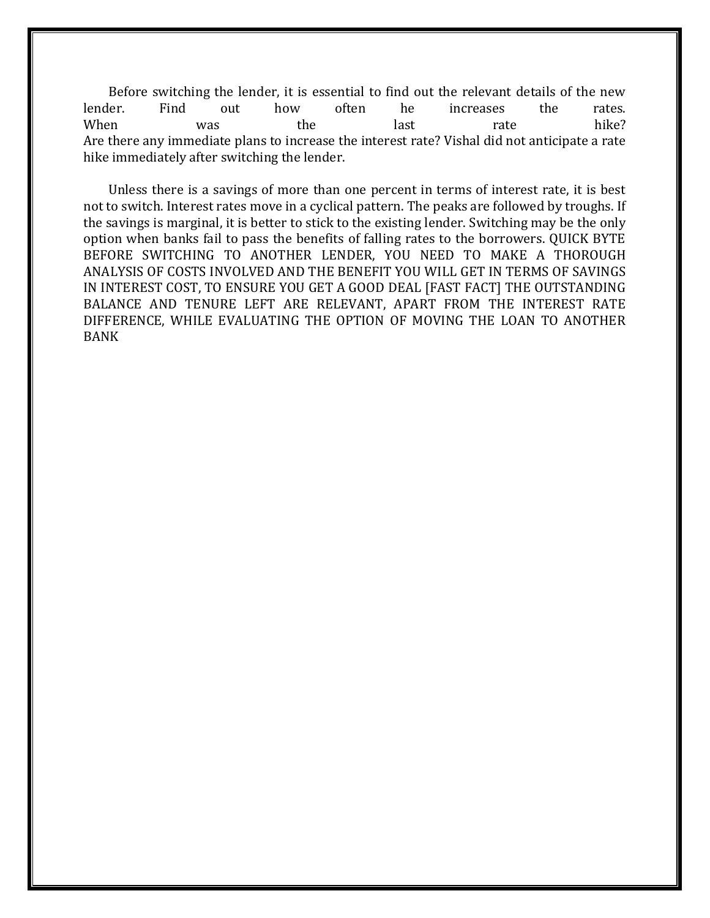Before switching the lender, it is essential to find out the relevant details of the new lender. Find out how often he increases the rates. When was the last rate hike? Are there any immediate plans to increase the interest rate? Vishal did not anticipate a rate hike immediately after switching the lender.

Unless there is a savings of more than one percent in terms of interest rate, it is best not to switch. Interest rates move in a cyclical pattern. The peaks are followed by troughs. If the savings is marginal, it is better to stick to the existing lender. Switching may be the only option when banks fail to pass the benefits of falling rates to the borrowers. QUICK BYTE BEFORE SWITCHING TO ANOTHER LENDER, YOU NEED TO MAKE A THOROUGH ANALYSIS OF COSTS INVOLVED AND THE BENEFIT YOU WILL GET IN TERMS OF SAVINGS IN INTEREST COST, TO ENSURE YOU GET A GOOD DEAL [FAST FACT] THE OUTSTANDING BALANCE AND TENURE LEFT ARE RELEVANT, APART FROM THE INTEREST RATE DIFFERENCE, WHILE EVALUATING THE OPTION OF MOVING THE LOAN TO ANOTHER BANK